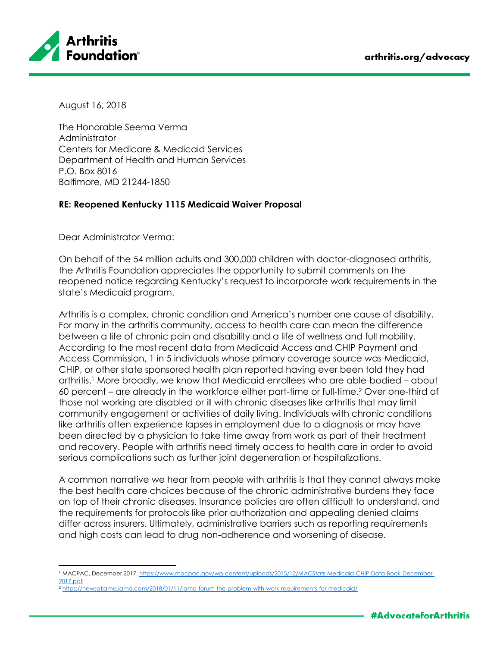

August 16, 2018

The Honorable Seema Verma Administrator Centers for Medicare & Medicaid Services Department of Health and Human Services P.O. Box 8016 Baltimore, MD 21244-1850

## **RE: Reopened Kentucky 1115 Medicaid Waiver Proposal**

Dear Administrator Verma:

On behalf of the 54 million adults and 300,000 children with doctor-diagnosed arthritis, the Arthritis Foundation appreciates the opportunity to submit comments on the reopened notice regarding Kentucky's request to incorporate work requirements in the state's Medicaid program.

Arthritis is a complex, chronic condition and America's number one cause of disability. For many in the arthritis community, access to health care can mean the difference between a life of chronic pain and disability and a life of wellness and full mobility. According to the most recent data from Medicaid Access and CHIP Payment and Access Commission, 1 in 5 individuals whose primary coverage source was Medicaid, CHIP, or other state sponsored health plan reported having ever been told they had arthritis. <sup>1</sup> More broadly, we know that Medicaid enrollees who are able-bodied – about 60 percent – are already in the workforce either part-time or full-time.<sup>2</sup> Over one-third of those not working are disabled or ill with chronic diseases like arthritis that may limit community engagement or activities of daily living. Individuals with chronic conditions like arthritis often experience lapses in employment due to a diagnosis or may have been directed by a physician to take time away from work as part of their treatment and recovery. People with arthritis need timely access to health care in order to avoid serious complications such as further joint degeneration or hospitalizations.

A common narrative we hear from people with arthritis is that they cannot always make the best health care choices because of the chronic administrative burdens they face on top of their chronic diseases. Insurance policies are often difficult to understand, and the requirements for protocols like prior authorization and appealing denied claims differ across insurers. Ultimately, administrative barriers such as reporting requirements and high costs can lead to drug non-adherence and worsening of disease.

 $\overline{\phantom{a}}$ <sup>1</sup> MACPAC, December 2017. [https://www.macpac.gov/wp-content/uploads/2015/12/MACStats-Medicaid-CHIP-Data-Book-December-](https://www.macpac.gov/wp-content/uploads/2015/12/MACStats-Medicaid-CHIP-Data-Book-December-2017.pdf)[2017.pdf](https://www.macpac.gov/wp-content/uploads/2015/12/MACStats-Medicaid-CHIP-Data-Book-December-2017.pdf)

<sup>2</sup> <https://newsatjama.jama.com/2018/01/11/jama-forum-the-problem-with-work-requirements-for-medicaid/>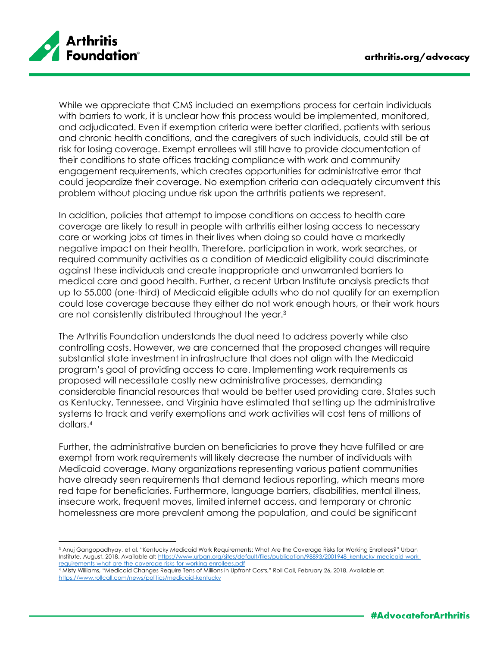

While we appreciate that CMS included an exemptions process for certain individuals with barriers to work, it is unclear how this process would be implemented, monitored, and adjudicated. Even if exemption criteria were better clarified, patients with serious and chronic health conditions, and the caregivers of such individuals, could still be at risk for losing coverage. Exempt enrollees will still have to provide documentation of their conditions to state offices tracking compliance with work and community engagement requirements, which creates opportunities for administrative error that could jeopardize their coverage. No exemption criteria can adequately circumvent this problem without placing undue risk upon the arthritis patients we represent.

In addition, policies that attempt to impose conditions on access to health care coverage are likely to result in people with arthritis either losing access to necessary care or working jobs at times in their lives when doing so could have a markedly negative impact on their health. Therefore, participation in work, work searches, or required community activities as a condition of Medicaid eligibility could discriminate against these individuals and create inappropriate and unwarranted barriers to medical care and good health. Further, a recent Urban Institute analysis predicts that up to 55,000 (one-third) of Medicaid eligible adults who do not qualify for an exemption could lose coverage because they either do not work enough hours, or their work hours are not consistently distributed throughout the year.<sup>3</sup>

The Arthritis Foundation understands the dual need to address poverty while also controlling costs. However, we are concerned that the proposed changes will require substantial state investment in infrastructure that does not align with the Medicaid program's goal of providing access to care. Implementing work requirements as proposed will necessitate costly new administrative processes, demanding considerable financial resources that would be better used providing care. States such as Kentucky, Tennessee, and Virginia have estimated that setting up the administrative systems to track and verify exemptions and work activities will cost tens of millions of dollars.<sup>4</sup>

Further, the administrative burden on beneficiaries to prove they have fulfilled or are exempt from work requirements will likely decrease the number of individuals with Medicaid coverage. Many organizations representing various patient communities have already seen requirements that demand tedious reporting, which means more red tape for beneficiaries. Furthermore, language barriers, disabilities, mental illness, insecure work, frequent moves, limited internet access, and temporary or chronic homelessness are more prevalent among the population, and could be significant

l <sup>3</sup> Anuj Gangopadhyay, et al, "Kentucky Medicaid Work Requirements: What Are the Coverage Risks for Working Enrollees?" Urban Institute, August, 2018. Available at[: https://www.urban.org/sites/default/files/publication/98893/2001948\\_kentucky-medicaid-work](https://www.urban.org/sites/default/files/publication/98893/2001948_kentucky-medicaid-work-requirements-what-are-the-coverage-risks-for-working-enrollees.pdf)[requirements-what-are-the-coverage-risks-for-working-enrollees.pdf](https://www.urban.org/sites/default/files/publication/98893/2001948_kentucky-medicaid-work-requirements-what-are-the-coverage-risks-for-working-enrollees.pdf)

<sup>4</sup> Misty Williams, "Medicaid Changes Require Tens of Millions in Upfront Costs," Roll Call, February 26, 2018. Available at: <https://www.rollcall.com/news/politics/medicaid-kentucky>